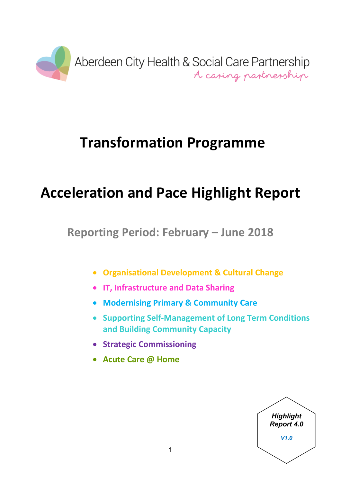

# **Transformation Programme**

# **Acceleration and Pace Highlight Report**

**Reporting Period: February – June 2018**

- **Organisational Development & Cultural Change**
- **IT, Infrastructure and Data Sharing**
- **Modernising Primary & Community Care**
- **Supporting Self-Management of Long Term Conditions and Building Community Capacity**
- **Strategic Commissioning**
- **Acute Care @ Home**

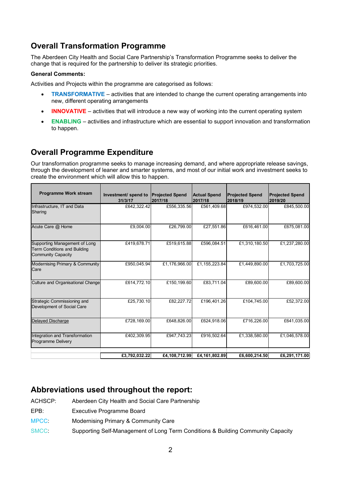# **Overall Transformation Programme**

The Aberdeen City Health and Social Care Partnership's Transformation Programme seeks to deliver the change that is required for the partnership to deliver its strategic priorities.

#### **General Comments:**

Activities and Projects within the programme are categorised as follows:

- **TRANSFORMATIVE** activities that are intended to change the current operating arrangements into new, different operating arrangements
- **INNOVATIVE** activities that will introduce a new way of working into the current operating system
- **ENABLING** activities and infrastructure which are essential to support innovation and transformation to happen.

# **Overall Programme Expenditure**

Our transformation programme seeks to manage increasing demand, and where appropriate release savings, through the development of leaner and smarter systems, and most of our initial work and investment seeks to create the environment which will allow this to happen.

| <b>Programme Work stream</b>                                                                      | Investment/ spend to<br>31/3/17 | <b>Projected Spend</b><br>2017/18 | <b>Actual Spend</b><br>2017/18 | <b>Projected Spend</b><br>2018/19 | <b>Projected Spend</b><br>2019/20 |
|---------------------------------------------------------------------------------------------------|---------------------------------|-----------------------------------|--------------------------------|-----------------------------------|-----------------------------------|
| Infrastructure, IT and Data<br>Sharing                                                            | £642,322.42                     | £556,335.56                       | £561,409.68                    | £974,532.00                       | £845,500.00                       |
| Acute Care @ Home                                                                                 | £9,004.00                       | £26,799.00                        | £27,551.86                     | £616,461.00                       | £675,081.00                       |
| Supporting Management of Long<br><b>Term Conditions and Building</b><br><b>Community Capacity</b> | £419,678.71                     | £519,615.88                       | £596,084.51                    | £1,310,180.50                     | £1,237,280.00                     |
| Modernising Primary & Community<br>Care                                                           | £950,045.94                     | £1,176,966.00                     | £1,155,223.84                  | £1,449,890.00                     | £1,703,725.00                     |
| Culture and Organisational Change                                                                 | £614,772.10                     | £150,199.60                       | £83,711.04                     | £89,600.00                        | £89,600.00                        |
| Strategic Commissioning and<br>Development of Social Care                                         | £25,730.10                      | £82,227.72                        | £196,401.26                    | £104,745.00                       | £52,372.00                        |
| Delayed Discharge                                                                                 | £728,169.00                     | £648,826.00                       | £624,918.06                    | £716,226.00                       | £641,035.00                       |
| Integration and Transformation<br>Programme Delivery                                              | £402,309.95                     | £947,743.23                       | £916,502.64                    | £1,338,580.00                     | £1,046,578.00                     |
|                                                                                                   | £3,792,032.22                   | £4,108,712.99                     | £4,161,802.89                  | £6,600,214.50                     | £6,291,171.00                     |

# **Abbreviations used throughout the report:**

- ACHSCP: Aberdeen City Health and Social Care Partnership
- EPB: Executive Programme Board
- MPCC: Modernising Primary & Community Care
- SMCC: Supporting Self-Management of Long Term Conditions & Building Community Capacity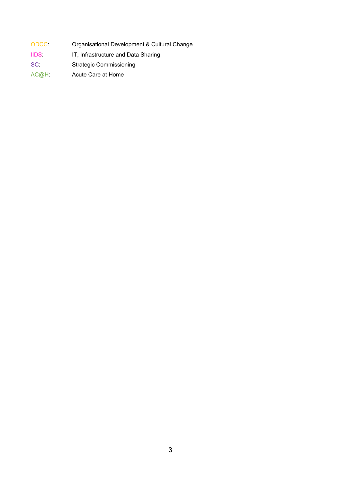- ODCC: Organisational Development & Cultural Change
- IIDS: IT, Infrastructure and Data Sharing
- SC: Strategic Commissioning
- AC@H: Acute Care at Home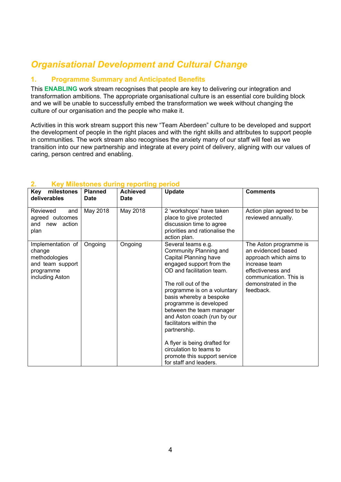# *Organisational Development and Cultural Change*

# **1. Programme Summary and Anticipated Benefits**

This **ENABLING** work stream recognises that people are key to delivering our integration and transformation ambitions. The appropriate organisational culture is an essential core building block and we will be unable to successfully embed the transformation we week without changing the culture of our organisation and the people who make it.

Activities in this work stream support this new "Team Aberdeen" culture to be developed and support the development of people in the right places and with the right skills and attributes to support people in communities. The work stream also recognises the anxiety many of our staff will feel as we transition into our new partnership and integrate at every point of delivery, aligning with our values of caring, person centred and enabling.

| milestones<br><b>Key</b><br>deliverables                                                         | <b>Planned</b><br><b>Date</b> | <b>Achieved</b><br><b>Date</b> | <b>Update</b>                                                                                                                                                                                                                                                                                                                                                                                                                                                        | <b>Comments</b>                                                                                                                                                            |
|--------------------------------------------------------------------------------------------------|-------------------------------|--------------------------------|----------------------------------------------------------------------------------------------------------------------------------------------------------------------------------------------------------------------------------------------------------------------------------------------------------------------------------------------------------------------------------------------------------------------------------------------------------------------|----------------------------------------------------------------------------------------------------------------------------------------------------------------------------|
| Reviewed<br>and<br>agreed outcomes<br>action<br>and<br>new<br>plan                               | May 2018                      | May 2018                       | 2 'workshops' have taken<br>place to give protected<br>discussion time to agree<br>priorities and rationalise the<br>action plan.                                                                                                                                                                                                                                                                                                                                    | Action plan agreed to be<br>reviewed annually.                                                                                                                             |
| Implementation of<br>change<br>methodologies<br>and team support<br>programme<br>including Aston | Ongoing                       | Ongoing                        | Several teams e.g.<br>Community Planning and<br>Capital Planning have<br>engaged support from the<br>OD and facilitation team.<br>The roll out of the<br>programme is on a voluntary<br>basis whereby a bespoke<br>programme is developed<br>between the team manager<br>and Aston coach (run by our<br>facilitators within the<br>partnership.<br>A flyer is being drafted for<br>circulation to teams to<br>promote this support service<br>for staff and leaders. | The Aston programme is<br>an evidenced based<br>approach which aims to<br>increase team<br>effectiveness and<br>communication. This is<br>demonstrated in the<br>feedback. |

#### **2. Key Milestones during reporting period**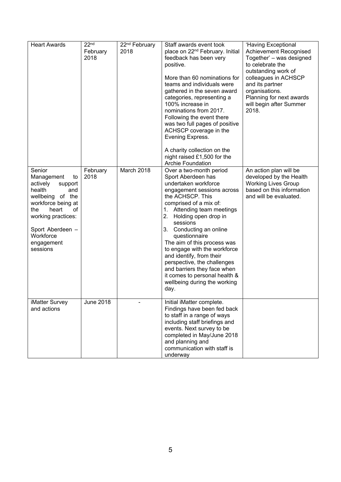| <b>Heart Awards</b>                                                                                                                                                                                                 | 22 <sup>nd</sup><br>February<br>2018 | 22 <sup>nd</sup> February<br>2018 | Staff awards event took<br>place on 22 <sup>nd</sup> February. Initial<br>feedback has been very<br>positive.<br>More than 60 nominations for<br>teams and individuals were<br>gathered in the seven award<br>categories, representing a<br>100% increase in<br>nominations from 2017.<br>Following the event there<br>was two full pages of positive<br>ACHSCP coverage in the<br>Evening Express.<br>A charity collection on the<br>night raised £1,500 for the<br><b>Archie Foundation</b>              | 'Having Exceptional<br>Achievement Recognised<br>Together' - was designed<br>to celebrate the<br>outstanding work of<br>colleagues in ACHSCP<br>and its partner<br>organisations.<br>Planning for next awards<br>will begin after Summer<br>2018. |
|---------------------------------------------------------------------------------------------------------------------------------------------------------------------------------------------------------------------|--------------------------------------|-----------------------------------|------------------------------------------------------------------------------------------------------------------------------------------------------------------------------------------------------------------------------------------------------------------------------------------------------------------------------------------------------------------------------------------------------------------------------------------------------------------------------------------------------------|---------------------------------------------------------------------------------------------------------------------------------------------------------------------------------------------------------------------------------------------------|
| Senior<br>Management<br>to<br>actively<br>support<br>health<br>and<br>wellbeing of the<br>workforce being at<br>heart<br>of<br>the<br>working practices:<br>Sport Aberdeen -<br>Workforce<br>engagement<br>sessions | February<br>2018                     | March 2018                        | Over a two-month period<br>Sport Aberdeen has<br>undertaken workforce<br>engagement sessions across<br>the ACHSCP. This<br>comprised of a mix of:<br>1. Attending team meetings<br>2.<br>Holding open drop in<br>sessions<br>3.<br>Conducting an online<br>questionnaire<br>The aim of this process was<br>to engage with the workforce<br>and identify, from their<br>perspective, the challenges<br>and barriers they face when<br>it comes to personal health &<br>wellbeing during the working<br>day. | An action plan will be<br>developed by the Health<br><b>Working Lives Group</b><br>based on this information<br>and will be evaluated.                                                                                                            |
| iMatter Survey<br>and actions                                                                                                                                                                                       | <b>June 2018</b>                     |                                   | Initial iMatter complete.<br>Findings have been fed back<br>to staff in a range of ways<br>including staff briefings and<br>events. Next survey to be<br>completed in May/June 2018<br>and planning and<br>communication with staff is<br>underway                                                                                                                                                                                                                                                         |                                                                                                                                                                                                                                                   |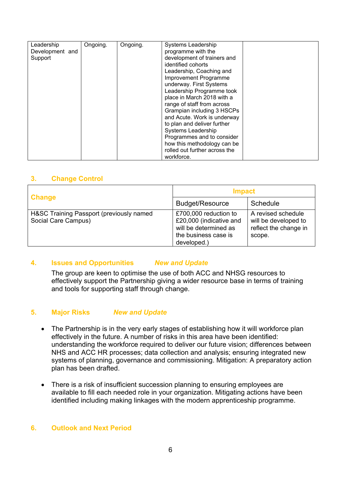| Leadership      | Ongoing. | Ongoing. | <b>Systems Leadership</b>     |  |
|-----------------|----------|----------|-------------------------------|--|
| Development and |          |          | programme with the            |  |
| Support         |          |          | development of trainers and   |  |
|                 |          |          | identified cohorts            |  |
|                 |          |          | Leadership, Coaching and      |  |
|                 |          |          | Improvement Programme         |  |
|                 |          |          | underway. First Systems       |  |
|                 |          |          | Leadership Programme took     |  |
|                 |          |          | place in March 2018 with a    |  |
|                 |          |          | range of staff from across    |  |
|                 |          |          | Grampian including 3 HSCPs    |  |
|                 |          |          | and Acute. Work is underway   |  |
|                 |          |          | to plan and deliver further   |  |
|                 |          |          | Systems Leadership            |  |
|                 |          |          | Programmes and to consider    |  |
|                 |          |          | how this methodology can be   |  |
|                 |          |          | rolled out further across the |  |
|                 |          |          | workforce.                    |  |
|                 |          |          |                               |  |

|                                                                 | <b>Impact</b>                                                                                                    |                                                                               |  |
|-----------------------------------------------------------------|------------------------------------------------------------------------------------------------------------------|-------------------------------------------------------------------------------|--|
| <b>Change</b>                                                   | <b>Budget/Resource</b>                                                                                           | Schedule                                                                      |  |
| H&SC Training Passport (previously named<br>Social Care Campus) | £700,000 reduction to<br>£20,000 (indicative and<br>will be determined as<br>the business case is<br>developed.) | A revised schedule<br>will be developed to<br>reflect the change in<br>scope. |  |

# **4. Issues and Opportunities** *New and Update*

The group are keen to optimise the use of both ACC and NHSG resources to effectively support the Partnership giving a wider resource base in terms of training and tools for supporting staff through change.

# **5. Major Risks** *New and Update*

- The Partnership is in the very early stages of establishing how it will workforce plan effectively in the future. A number of risks in this area have been identified: understanding the workforce required to deliver our future vision; differences between NHS and ACC HR processes; data collection and analysis; ensuring integrated new systems of planning, governance and commissioning. Mitigation: A preparatory action plan has been drafted.
- There is a risk of insufficient succession planning to ensuring employees are available to fill each needed role in your organization. Mitigating actions have been identified including making linkages with the modern apprenticeship programme.

# **6. Outlook and Next Period**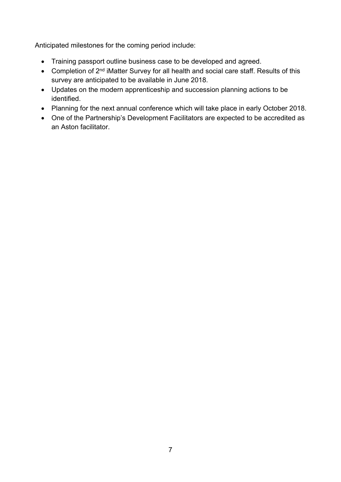Anticipated milestones for the coming period include:

- Training passport outline business case to be developed and agreed.
- Completion of 2<sup>nd</sup> iMatter Survey for all health and social care staff. Results of this survey are anticipated to be available in June 2018.
- Updates on the modern apprenticeship and succession planning actions to be identified.
- Planning for the next annual conference which will take place in early October 2018.
- One of the Partnership's Development Facilitators are expected to be accredited as an Aston facilitator.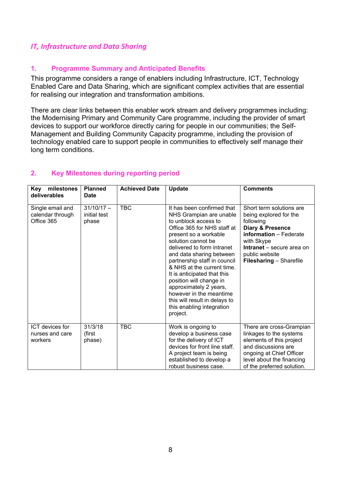# *IT, Infrastructure and Data Sharing*

# **1. Programme Summary and Anticipated Benefits**

This programme considers a range of enablers including Infrastructure, ICT, Technology Enabled Care and Data Sharing, which are significant complex activities that are essential for realising our integration and transformation ambitions.

There are clear links between this enabler work stream and delivery programmes including: the Modernising Primary and Community Care programme, including the provider of smart devices to support our workforce directly caring for people in our communities; the Self-Management and Building Community Capacity programme, including the provision of technology enabled care to support people in communities to effectively self manage their long term conditions.

# **2. Key Milestones during reporting period**

| milestones<br><b>Kev</b><br>deliverables             | <b>Planned</b><br>Date                | <b>Achieved Date</b> | <b>Update</b>                                                                                                                                                                                                                                                                                                                                                                                                                                                                | <b>Comments</b>                                                                                                                                                                                                         |
|------------------------------------------------------|---------------------------------------|----------------------|------------------------------------------------------------------------------------------------------------------------------------------------------------------------------------------------------------------------------------------------------------------------------------------------------------------------------------------------------------------------------------------------------------------------------------------------------------------------------|-------------------------------------------------------------------------------------------------------------------------------------------------------------------------------------------------------------------------|
| Single email and<br>calendar through<br>Office 365   | $31/10/17 -$<br>initial test<br>phase | <b>TBC</b>           | It has been confirmed that<br>NHS Grampian are unable<br>to unblock access to<br>Office 365 for NHS staff at<br>present so a workable<br>solution cannot be<br>delivered to form intranet<br>and data sharing between<br>partnership staff in council<br>& NHS at the current time.<br>It is anticipated that this<br>position will change in<br>approximately 2 years,<br>however in the meantime<br>this will result in delays to<br>this enabling integration<br>project. | Short term solutions are<br>being explored for the<br>following<br><b>Diary &amp; Presence</b><br>information - Federate<br>with Skype<br>Intranet - secure area on<br>public website<br><b>Filesharing - Sharefile</b> |
| <b>ICT</b> devices for<br>nurses and care<br>workers | 31/3/18<br>(first<br>phase)           | <b>TBC</b>           | Work is ongoing to<br>develop a business case<br>for the delivery of ICT<br>devices for front line staff.<br>A project team is being<br>established to develop a<br>robust business case.                                                                                                                                                                                                                                                                                    | There are cross-Grampian<br>linkages to the systems<br>elements of this project<br>and discussions are<br>ongoing at Chief Officer<br>level about the financing<br>of the preferred solution.                           |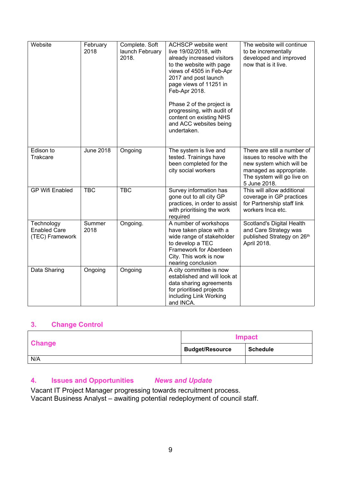| Website                                              | February<br>2018 | Complete. Soft<br>launch February<br>2018. | <b>ACHSCP</b> website went<br>live 19/02/2018, with<br>already increased visitors<br>to the website with page<br>views of 4505 in Feb-Apr<br>2017 and post launch<br>page views of 11251 in<br>Feb-Apr 2018.<br>Phase 2 of the project is<br>progressing, with audit of<br>content on existing NHS<br>and ACC websites being<br>undertaken. | The website will continue<br>to be incrementally<br>developed and improved<br>now that is it live.                                                             |
|------------------------------------------------------|------------------|--------------------------------------------|---------------------------------------------------------------------------------------------------------------------------------------------------------------------------------------------------------------------------------------------------------------------------------------------------------------------------------------------|----------------------------------------------------------------------------------------------------------------------------------------------------------------|
| Edison to<br>Trakcare                                | <b>June 2018</b> | Ongoing                                    | The system is live and<br>tested. Trainings have<br>been completed for the<br>city social workers                                                                                                                                                                                                                                           | There are still a number of<br>issues to resolve with the<br>new system which will be<br>managed as appropriate.<br>The system will go live on<br>5 June 2018. |
| <b>GP Wifi Enabled</b>                               | <b>TBC</b>       | <b>TBC</b>                                 | Survey information has<br>gone out to all city GP<br>practices, in order to assist<br>with prioritising the work<br>required                                                                                                                                                                                                                | This will allow additional<br>coverage in GP practices<br>for Partnership staff link<br>workers Inca etc.                                                      |
| Technology<br><b>Enabled Care</b><br>(TEC) Framework | Summer<br>2018   | Ongoing.                                   | A number of workshops<br>have taken place with a<br>wide range of stakeholder<br>to develop a TEC<br>Framework for Aberdeen<br>City. This work is now<br>nearing conclusion                                                                                                                                                                 | Scotland's Digital Health<br>and Care Strategy was<br>published Strategy on 26th<br>April 2018.                                                                |
| Data Sharing                                         | Ongoing          | Ongoing                                    | A city committee is now<br>established and will look at<br>data sharing agreements<br>for prioritised projects<br>including Link Working<br>and INCA.                                                                                                                                                                                       |                                                                                                                                                                |

|               |                        | Impact          |
|---------------|------------------------|-----------------|
| <b>Change</b> | <b>Budget/Resource</b> | <b>Schedule</b> |
| N/A           |                        |                 |

# **4. Issues and Opportunities** *News and Update*

Vacant IT Project Manager progressing towards recruitment process. Vacant Business Analyst – awaiting potential redeployment of council staff.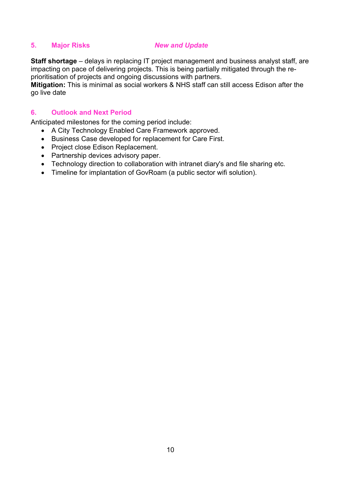# **5. Major Risks** *New and Update*

**Staff shortage** – delays in replacing IT project management and business analyst staff, are impacting on pace of delivering projects. This is being partially mitigated through the reprioritisation of projects and ongoing discussions with partners.

**Mitigation:** This is minimal as social workers & NHS staff can still access Edison after the go live date

# **6. Outlook and Next Period**

Anticipated milestones for the coming period include:

- A City Technology Enabled Care Framework approved.
- Business Case developed for replacement for Care First.
- Project close Edison Replacement.
- Partnership devices advisory paper.
- Technology direction to collaboration with intranet diary's and file sharing etc.
- Timeline for implantation of GovRoam (a public sector wifi solution).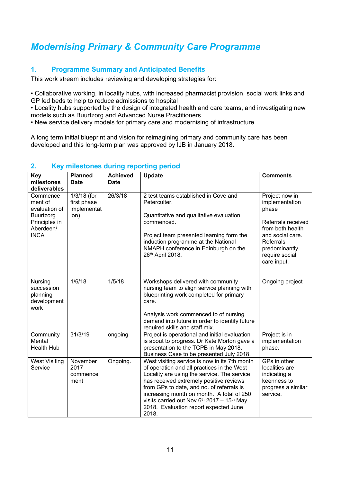# *Modernising Primary & Community Care Programme*

# **1. Programme Summary and Anticipated Benefits**

This work stream includes reviewing and developing strategies for:

• Collaborative working, in locality hubs, with increased pharmacist provision, social work links and GP led beds to help to reduce admissions to hospital

• Locality hubs supported by the design of integrated health and care teams, and investigating new models such as Buurtzorg and Advanced Nurse Practitioners

• New service delivery models for primary care and modernising of infrastructure

A long term initial blueprint and vision for reimagining primary and community care has been developed and this long-term plan was approved by IJB in January 2018.

| Key<br>milestones<br>deliverables                                                                     | <b>Planned</b><br>Date                            | <b>Achieved</b><br><b>Date</b> | <b>Update</b>                                                                                                                                                                                                                                                                                                                                                                                 | <b>Comments</b>                                                                                                                                                               |
|-------------------------------------------------------------------------------------------------------|---------------------------------------------------|--------------------------------|-----------------------------------------------------------------------------------------------------------------------------------------------------------------------------------------------------------------------------------------------------------------------------------------------------------------------------------------------------------------------------------------------|-------------------------------------------------------------------------------------------------------------------------------------------------------------------------------|
| Commence<br>ment of<br>evaluation of<br><b>Buurtzorg</b><br>Principles in<br>Aberdeen/<br><b>INCA</b> | 1/3/18 (for<br>first phase<br>implementat<br>ion) | 26/3/18                        | 2 test teams established in Cove and<br>Peterculter.<br>Quantitative and qualitative evaluation<br>commenced.<br>Project team presented learning form the<br>induction programme at the National<br>NMAPH conference in Edinburgh on the<br>26th April 2018.                                                                                                                                  | Project now in<br>implementation<br>phase<br>Referrals received<br>from both health<br>and social care.<br><b>Referrals</b><br>predominantly<br>require social<br>care input. |
| Nursing<br>succession<br>planning<br>development<br>work                                              | 1/6/18                                            | 1/5/18                         | Workshops delivered with community<br>nursing team to align service planning with<br>blueprinting work completed for primary<br>care.<br>Analysis work commenced to of nursing<br>demand into future in order to identify future<br>required skills and staff mix.                                                                                                                            | Ongoing project                                                                                                                                                               |
| Community<br>Mental<br><b>Health Hub</b>                                                              | 31/3/19                                           | ongoing                        | Project is operational and initial evaluation<br>is about to progress. Dr Kate Morton gave a<br>presentation to the TCPB in May 2018.<br>Business Case to be presented July 2018.                                                                                                                                                                                                             | Project is in<br>implementation<br>phase.                                                                                                                                     |
| <b>West Visiting</b><br>Service                                                                       | November<br>2017<br>commence<br>ment              | Ongoing.                       | West visiting service is now in its 7th month<br>of operation and all practices in the West<br>Locality are using the service. The service<br>has received extremely positive reviews<br>from GPs to date, and no. of referrals is<br>increasing month on month. A total of 250<br>visits carried out Nov $6th$ 2017 - 15 <sup>th</sup> May<br>2018. Evaluation report expected June<br>2018. | GPs in other<br>localities are<br>indicating a<br>keenness to<br>progress a similar<br>service.                                                                               |

# **2. Key milestones during reporting period**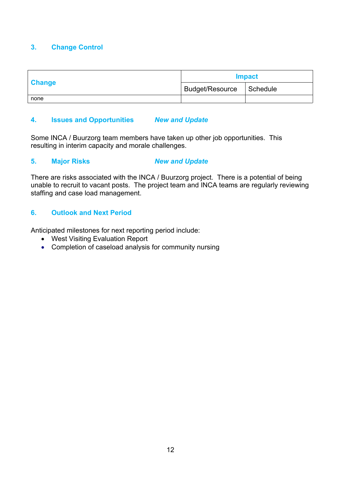|               |                          | <b>Impact</b> |
|---------------|--------------------------|---------------|
| <b>Change</b> | Budget/Resource Schedule |               |
| none          |                          |               |

# **4. Issues and Opportunities** *New and Update*

Some INCA / Buurzorg team members have taken up other job opportunities. This resulting in interim capacity and morale challenges.

# **5. Major Risks** *New and Update*

There are risks associated with the INCA / Buurzorg project. There is a potential of being unable to recruit to vacant posts. The project team and INCA teams are regularly reviewing staffing and case load management.

# **6. Outlook and Next Period**

Anticipated milestones for next reporting period include:

- West Visiting Evaluation Report
- Completion of caseload analysis for community nursing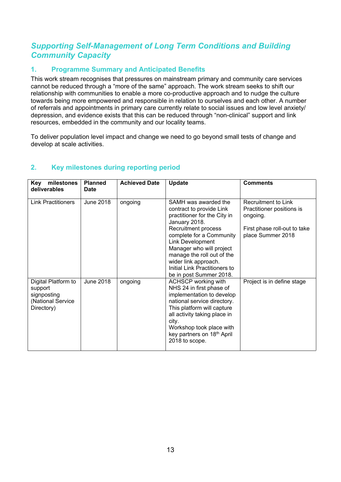# *Supporting Self-Management of Long Term Conditions and Building Community Capacity*

# **1. Programme Summary and Anticipated Benefits**

This work stream recognises that pressures on mainstream primary and community care services cannot be reduced through a "more of the same" approach. The work stream seeks to shift our relationship with communities to enable a more co-productive approach and to nudge the culture towards being more empowered and responsible in relation to ourselves and each other. A number of referrals and appointments in primary care currently relate to social issues and low level anxiety/ depression, and evidence exists that this can be reduced through "non-clinical" support and link resources, embedded in the community and our locality teams.

To deliver population level impact and change we need to go beyond small tests of change and develop at scale activities.

| milestones<br><b>Key</b><br>deliverables                                         | <b>Planned</b><br><b>Date</b> | <b>Achieved Date</b> | <b>Update</b>                                                                                                                                                                                                                                                                                                                 | <b>Comments</b>                                                                                                   |
|----------------------------------------------------------------------------------|-------------------------------|----------------------|-------------------------------------------------------------------------------------------------------------------------------------------------------------------------------------------------------------------------------------------------------------------------------------------------------------------------------|-------------------------------------------------------------------------------------------------------------------|
| <b>Link Practitioners</b>                                                        | <b>June 2018</b>              | ongoing              | SAMH was awarded the<br>contract to provide Link<br>practitioner for the City in<br>January 2018.<br>Recruitment process<br>complete for a Community<br><b>Link Development</b><br>Manager who will project<br>manage the roll out of the<br>wider link approach.<br>Initial Link Practitioners to<br>be in post Summer 2018. | Recruitment to Link<br>Practitioner positions is<br>ongoing.<br>First phase roll-out to take<br>place Summer 2018 |
| Digital Platform to<br>support<br>signposting<br>(National Service<br>Directory) | June 2018                     | ongoing              | <b>ACHSCP</b> working with<br>NHS 24 in first phase of<br>implementation to develop<br>national service directory.<br>This platform will capture<br>all activity taking place in<br>city.<br>Workshop took place with<br>key partners on 18 <sup>th</sup> April<br>2018 to scope.                                             | Project is in define stage                                                                                        |

# **2. Key milestones during reporting period**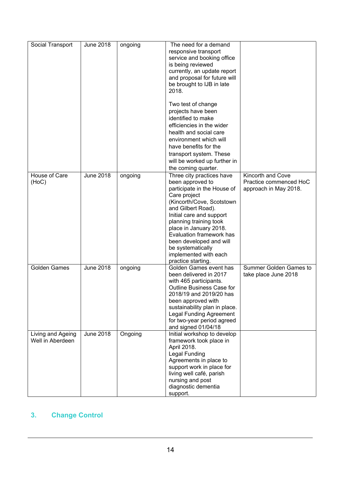| Social Transport                      | <b>June 2018</b> | ongoing | The need for a demand<br>responsive transport<br>service and booking office<br>is being reviewed<br>currently, an update report<br>and proposal for future will<br>be brought to IJB in late<br>2018.<br>Two test of change<br>projects have been<br>identified to make<br>efficiencies in the wider<br>health and social care<br>environment which will<br>have benefits for the<br>transport system. These<br>will be worked up further in<br>the coming quarter. |                                                                      |
|---------------------------------------|------------------|---------|---------------------------------------------------------------------------------------------------------------------------------------------------------------------------------------------------------------------------------------------------------------------------------------------------------------------------------------------------------------------------------------------------------------------------------------------------------------------|----------------------------------------------------------------------|
| House of Care<br>(HoC)                | <b>June 2018</b> | ongoing | Three city practices have<br>been approved to<br>participate in the House of<br>Care project<br>(Kincorth/Cove, Scotstown<br>and Gilbert Road).<br>Initial care and support<br>planning training took<br>place in January 2018.<br>Evaluation framework has<br>been developed and will<br>be systematically                                                                                                                                                         | Kincorth and Cove<br>Practice commenced HoC<br>approach in May 2018. |
| <b>Golden Games</b>                   | <b>June 2018</b> | ongoing | implemented with each<br>practice starting.<br>Golden Games event has<br>been delivered in 2017<br>with 465 participants.<br>Outline Business Case for<br>2018/19 and 2019/20 has<br>been approved with<br>sustainability plan in place.<br><b>Legal Funding Agreement</b><br>for two-year period agreed<br>and signed 01/04/18                                                                                                                                     | Summer Golden Games to<br>take place June 2018                       |
| Living and Ageing<br>Well in Aberdeen | <b>June 2018</b> | Ongoing | Initial workshop to develop<br>framework took place in<br>April 2018.<br>Legal Funding<br>Agreements in place to<br>support work in place for<br>living well café, parish<br>nursing and post<br>diagnostic dementia<br>support.                                                                                                                                                                                                                                    |                                                                      |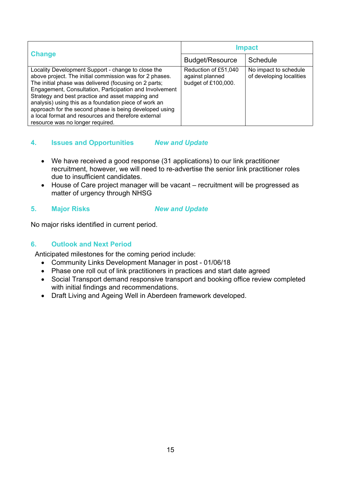| <b>Change</b>                                                                                                                                                                                                                                                                                                                                                                                                                                                                                       | <b>Impact</b>                                                  |                                                   |
|-----------------------------------------------------------------------------------------------------------------------------------------------------------------------------------------------------------------------------------------------------------------------------------------------------------------------------------------------------------------------------------------------------------------------------------------------------------------------------------------------------|----------------------------------------------------------------|---------------------------------------------------|
|                                                                                                                                                                                                                                                                                                                                                                                                                                                                                                     | <b>Budget/Resource</b>                                         | Schedule                                          |
| Locality Development Support - change to close the<br>above project. The initial commission was for 2 phases.<br>The initial phase was delivered (focusing on 2 parts;<br>Engagement, Consultation, Participation and Involvement<br>Strategy and best practice and asset mapping and<br>analysis) using this as a foundation piece of work an<br>approach for the second phase is being developed using<br>a local format and resources and therefore external<br>resource was no longer required. | Reduction of £51,040<br>against planned<br>budget of £100,000. | No impact to schedule<br>of developing localities |

# **4. Issues and Opportunities** *New and Update*

- We have received a good response (31 applications) to our link practitioner recruitment, however, we will need to re-advertise the senior link practitioner roles due to insufficient candidates.
- House of Care project manager will be vacant recruitment will be progressed as matter of urgency through NHSG

# **5. Major Risks** *New and Update*

No major risks identified in current period.

# **6. Outlook and Next Period**

Anticipated milestones for the coming period include:

- Community Links Development Manager in post 01/06/18
- Phase one roll out of link practitioners in practices and start date agreed
- Social Transport demand responsive transport and booking office review completed with initial findings and recommendations.
- Draft Living and Ageing Well in Aberdeen framework developed.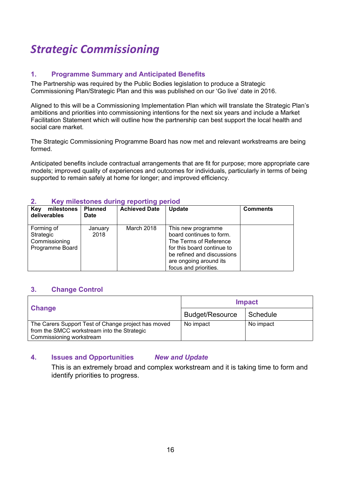# *Strategic Commissioning*

# **1. Programme Summary and Anticipated Benefits**

The Partnership was required by the Public Bodies legislation to produce a Strategic Commissioning Plan/Strategic Plan and this was published on our 'Go live' date in 2016.

Aligned to this will be a Commissioning Implementation Plan which will translate the Strategic Plan's ambitions and priorities into commissioning intentions for the next six years and include a Market Facilitation Statement which will outline how the partnership can best support the local health and social care market.

The Strategic Commissioning Programme Board has now met and relevant workstreams are being formed.

Anticipated benefits include contractual arrangements that are fit for purpose; more appropriate care models; improved quality of experiences and outcomes for individuals, particularly in terms of being supported to remain safely at home for longer; and improved efficiency.

| milestones<br><b>Key</b><br>deliverables                    | <b>Planned</b><br><b>Date</b> | <b>Achieved Date</b> | Update                                                                                                                                                                                  | <b>Comments</b> |
|-------------------------------------------------------------|-------------------------------|----------------------|-----------------------------------------------------------------------------------------------------------------------------------------------------------------------------------------|-----------------|
| Forming of<br>Strategic<br>Commissioning<br>Programme Board | January<br>2018               | March 2018           | This new programme<br>board continues to form.<br>The Terms of Reference<br>for this board continue to<br>be refined and discussions<br>are ongoing around its<br>focus and priorities. |                 |

#### **2. Key milestones during reporting period**

# **3. Change Control**

|                                                     | <b>Impact</b>          |           |
|-----------------------------------------------------|------------------------|-----------|
| <b>Change</b>                                       | <b>Budget/Resource</b> | Schedule  |
| The Carers Support Test of Change project has moved | No impact              | No impact |
| from the SMCC workstream into the Strategic         |                        |           |
| Commissioning workstream                            |                        |           |

# **4. Issues and Opportunities** *New and Update*

This is an extremely broad and complex workstream and it is taking time to form and identify priorities to progress.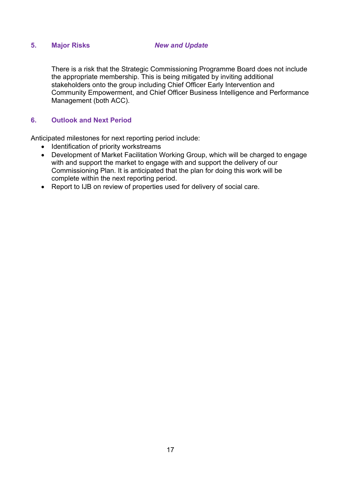# **5. Major Risks** *New and Update*

There is a risk that the Strategic Commissioning Programme Board does not include the appropriate membership. This is being mitigated by inviting additional stakeholders onto the group including Chief Officer Early Intervention and Community Empowerment, and Chief Officer Business Intelligence and Performance Management (both ACC).

# **6. Outlook and Next Period**

Anticipated milestones for next reporting period include:

- Identification of priority workstreams
- Development of Market Facilitation Working Group, which will be charged to engage with and support the market to engage with and support the delivery of our Commissioning Plan. It is anticipated that the plan for doing this work will be complete within the next reporting period.
- Report to IJB on review of properties used for delivery of social care.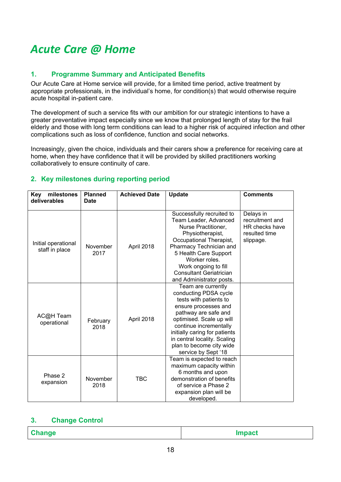# *Acute Care @ Home*

# **1. Programme Summary and Anticipated Benefits**

Our Acute Care at Home service will provide, for a limited time period, active treatment by appropriate professionals, in the individual's home, for condition(s) that would otherwise require acute hospital in-patient care.

The development of such a service fits with our ambition for our strategic intentions to have a greater preventative impact especially since we know that prolonged length of stay for the frail elderly and those with long term conditions can lead to a higher risk of acquired infection and other complications such as loss of confidence, function and social networks.

Increasingly, given the choice, individuals and their carers show a preference for receiving care at home, when they have confidence that it will be provided by skilled practitioners working collaboratively to ensure continuity of care.

# **2. Key milestones during reporting period**

| milestones<br>Key<br>deliverables     | <b>Planned</b><br><b>Date</b> | <b>Achieved Date</b> | <b>Update</b>                                                                                                                                                                                                                                                                                   | <b>Comments</b>                                                              |
|---------------------------------------|-------------------------------|----------------------|-------------------------------------------------------------------------------------------------------------------------------------------------------------------------------------------------------------------------------------------------------------------------------------------------|------------------------------------------------------------------------------|
|                                       |                               |                      |                                                                                                                                                                                                                                                                                                 |                                                                              |
| Initial operational<br>staff in place | November<br>2017              | April 2018           | Successfully recruited to<br>Team Leader, Advanced<br>Nurse Practitioner,<br>Physiotherapist,<br>Occupational Therapist,<br>Pharmacy Technician and<br>5 Health Care Support<br>Worker roles.<br>Work ongoing to fill<br><b>Consultant Geriatrician</b><br>and Administrator posts.             | Delays in<br>recruitment and<br>HR checks have<br>resulted time<br>slippage. |
| AC@H Team<br>operational              | February<br>2018              | April 2018           | Team are currently<br>conducting PDSA cycle<br>tests with patients to<br>ensure processes and<br>pathway are safe and<br>optimised. Scale up will<br>continue incrementally<br>initially caring for patients<br>in central locality. Scaling<br>plan to become city wide<br>service by Sept '18 |                                                                              |
| Phase 2<br>expansion                  | November<br>2018              | <b>TBC</b>           | Team is expected to reach<br>maximum capacity within<br>6 months and upon<br>demonstration of benefits<br>of service a Phase 2<br>expansion plan will be<br>developed.                                                                                                                          |                                                                              |

# **3. Change Control**

| Change    | Impact |
|-----------|--------|
| $-112119$ |        |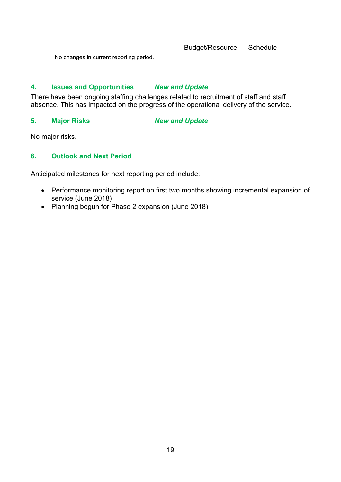|                                         | Budget/Resource | Schedule |
|-----------------------------------------|-----------------|----------|
| No changes in current reporting period. |                 |          |
|                                         |                 |          |

# **4. Issues and Opportunities** *New and Update*

There have been ongoing staffing challenges related to recruitment of staff and staff absence. This has impacted on the progress of the operational delivery of the service.

## **5. Major Risks** *New and Update*

No major risks.

# **6. Outlook and Next Period**

Anticipated milestones for next reporting period include:

- Performance monitoring report on first two months showing incremental expansion of service (June 2018)
- Planning begun for Phase 2 expansion (June 2018)